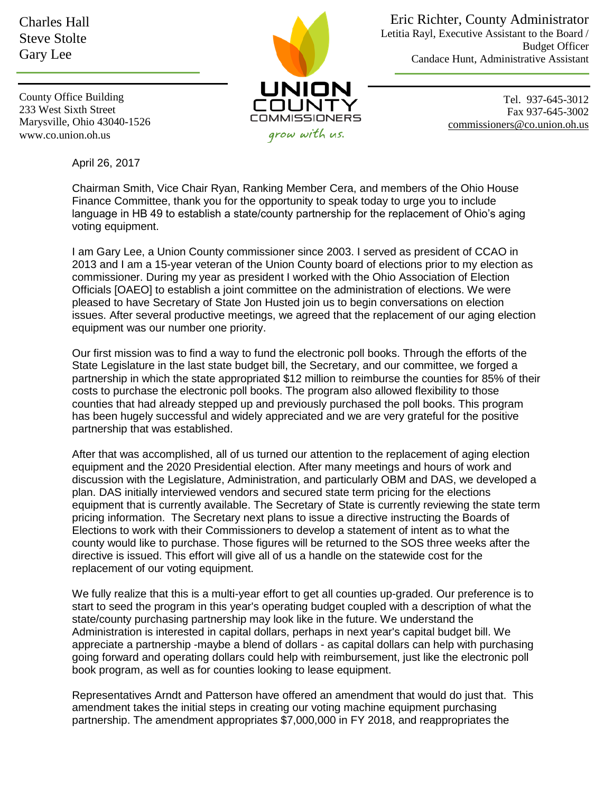Charles Hall Steve Stolte Gary Lee



Eric Richter, County Administrator Letitia Rayl, Executive Assistant to the Board / Budget Officer Candace Hunt, Administrative Assistant

County Office Building 233 West Sixth Street Marysville, Ohio 43040-1526 www.co.union.oh.us

Tel. 937-645-3012 Fax 937-645-3002 [commissioners@co.union.oh.us](mailto:commissioners@co.union.oh.us)

April 26, 2017

Chairman Smith, Vice Chair Ryan, Ranking Member Cera, and members of the Ohio House Finance Committee, thank you for the opportunity to speak today to urge you to include language in HB 49 to establish a state/county partnership for the replacement of Ohio's aging voting equipment.

I am Gary Lee, a Union County commissioner since 2003. I served as president of CCAO in 2013 and I am a 15-year veteran of the Union County board of elections prior to my election as commissioner. During my year as president I worked with the Ohio Association of Election Officials [OAEO] to establish a joint committee on the administration of elections. We were pleased to have Secretary of State Jon Husted join us to begin conversations on election issues. After several productive meetings, we agreed that the replacement of our aging election equipment was our number one priority.

Our first mission was to find a way to fund the electronic poll books. Through the efforts of the State Legislature in the last state budget bill, the Secretary, and our committee, we forged a partnership in which the state appropriated \$12 million to reimburse the counties for 85% of their costs to purchase the electronic poll books. The program also allowed flexibility to those counties that had already stepped up and previously purchased the poll books. This program has been hugely successful and widely appreciated and we are very grateful for the positive partnership that was established.

After that was accomplished, all of us turned our attention to the replacement of aging election equipment and the 2020 Presidential election. After many meetings and hours of work and discussion with the Legislature, Administration, and particularly OBM and DAS, we developed a plan. DAS initially interviewed vendors and secured state term pricing for the elections equipment that is currently available. The Secretary of State is currently reviewing the state term pricing information. The Secretary next plans to issue a directive instructing the Boards of Elections to work with their Commissioners to develop a statement of intent as to what the county would like to purchase. Those figures will be returned to the SOS three weeks after the directive is issued. This effort will give all of us a handle on the statewide cost for the replacement of our voting equipment.

We fully realize that this is a multi-year effort to get all counties up-graded. Our preference is to start to seed the program in this year's operating budget coupled with a description of what the state/county purchasing partnership may look like in the future. We understand the Administration is interested in capital dollars, perhaps in next year's capital budget bill. We appreciate a partnership -maybe a blend of dollars - as capital dollars can help with purchasing going forward and operating dollars could help with reimbursement, just like the electronic poll book program, as well as for counties looking to lease equipment.

Representatives Arndt and Patterson have offered an amendment that would do just that. This amendment takes the initial steps in creating our voting machine equipment purchasing partnership. The amendment appropriates \$7,000,000 in FY 2018, and reappropriates the